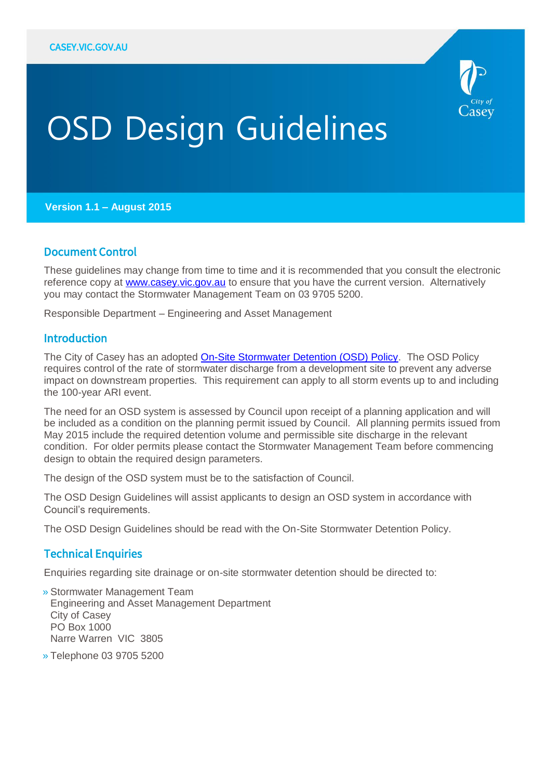

# OSD Design Guidelines

**Version 1.1 – August 2015**

#### Document Control

These guidelines may change from time to time and it is recommended that you consult the electronic reference copy at [www.casey.vic.gov.au](file:///C:/Users/shamilto/Desktop/www.casey.vic.gov.au) to ensure that you have the current version. Alternatively you may contact the Stormwater Management Team on 03 9705 5200.

Responsible Department – Engineering and Asset Management

#### Introduction

The City of Casey has an adopted [On-Site Stormwater Detention \(OSD\) Policy.](http://www.casey.vic.gov.au/council/policies-strategies/m-o/onsite-stormwater-detention-policy) The OSD Policy requires control of the rate of stormwater discharge from a development site to prevent any adverse impact on downstream properties. This requirement can apply to all storm events up to and including the 100-year ARI event.

The need for an OSD system is assessed by Council upon receipt of a planning application and will be included as a condition on the planning permit issued by Council. All planning permits issued from May 2015 include the required detention volume and permissible site discharge in the relevant condition. For older permits please contact the Stormwater Management Team before commencing design to obtain the required design parameters.

The design of the OSD system must be to the satisfaction of Council.

The OSD Design Guidelines will assist applicants to design an OSD system in accordance with Council's requirements.

The OSD Design Guidelines should be read with the On-Site Stormwater Detention Policy.

#### Technical Enquiries

Enquiries regarding site drainage or on-site stormwater detention should be directed to:

» Stormwater Management Team Engineering and Asset Management Department City of Casey PO Box 1000 Narre Warren VIC 3805

» Telephone 03 9705 5200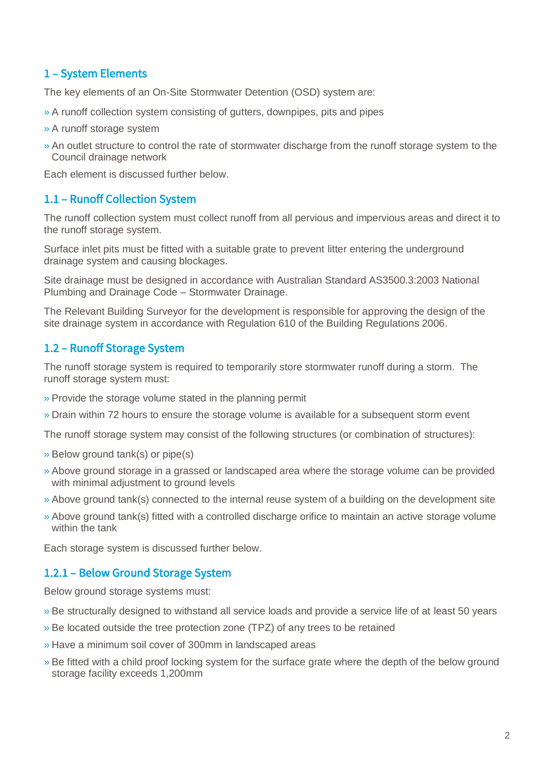### 1 – System Elements

The key elements of an On-Site Stormwater Detention (OSD) system are:

- » A runoff collection system consisting of gutters, downpipes, pits and pipes
- » A runoff storage system
- » An outlet structure to control the rate of stormwater discharge from the runoff storage system to the Council drainage network

Each element is discussed further below.

#### 1.1 – Runoff Collection System

The runoff collection system must collect runoff from all pervious and impervious areas and direct it to the runoff storage system.

Surface inlet pits must be fitted with a suitable grate to prevent litter entering the underground drainage system and causing blockages.

Site drainage must be designed in accordance with Australian Standard AS3500.3:2003 National Plumbing and Drainage Code – Stormwater Drainage.

The Relevant Building Surveyor for the development is responsible for approving the design of the site drainage system in accordance with Regulation 610 of the Building Regulations 2006.

#### 1.2 – Runoff Storage System

The runoff storage system is required to temporarily store stormwater runoff during a storm. The runoff storage system must:

- » Provide the storage volume stated in the planning permit
- » Drain within 72 hours to ensure the storage volume is available for a subsequent storm event

The runoff storage system may consist of the following structures (or combination of structures):

- » Below ground tank(s) or pipe(s)
- » Above ground storage in a grassed or landscaped area where the storage volume can be provided with minimal adjustment to ground levels
- » Above ground tank(s) connected to the internal reuse system of a building on the development site
- » Above ground tank(s) fitted with a controlled discharge orifice to maintain an active storage volume within the tank

Each storage system is discussed further below.

#### 1.2.1 – Below Ground Storage System

Below ground storage systems must:

- » Be structurally designed to withstand all service loads and provide a service life of at least 50 years
- » Be located outside the tree protection zone (TPZ) of any trees to be retained
- » Have a minimum soil cover of 300mm in landscaped areas
- » Be fitted with a child proof locking system for the surface grate where the depth of the below ground storage facility exceeds 1,200mm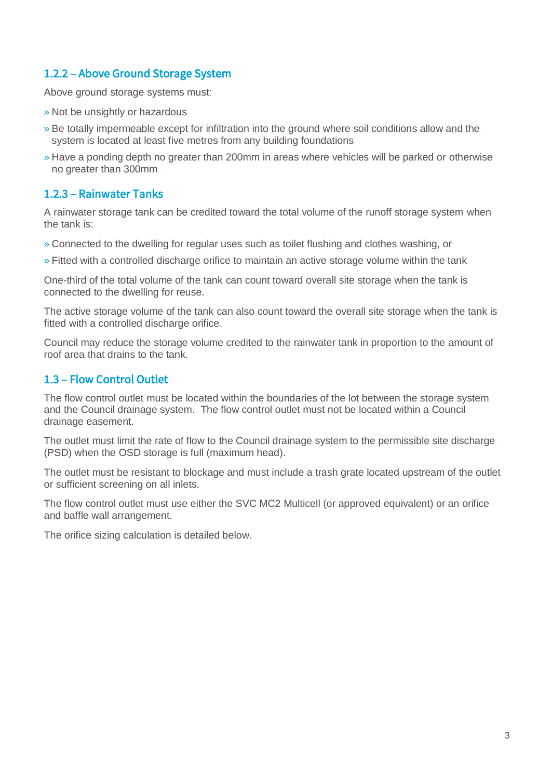#### 1.2.2 – Above Ground Storage System

Above ground storage systems must:

- » Not be unsightly or hazardous
- » Be totally impermeable except for infiltration into the ground where soil conditions allow and the system is located at least five metres from any building foundations
- » Have a ponding depth no greater than 200mm in areas where vehicles will be parked or otherwise no greater than 300mm

#### 1.2.3 – Rainwater Tanks

A rainwater storage tank can be credited toward the total volume of the runoff storage system when the tank is:

- » Connected to the dwelling for regular uses such as toilet flushing and clothes washing, or
- » Fitted with a controlled discharge orifice to maintain an active storage volume within the tank

One-third of the total volume of the tank can count toward overall site storage when the tank is connected to the dwelling for reuse.

The active storage volume of the tank can also count toward the overall site storage when the tank is fitted with a controlled discharge orifice.

Council may reduce the storage volume credited to the rainwater tank in proportion to the amount of roof area that drains to the tank.

#### 1.3 – Flow Control Outlet

The flow control outlet must be located within the boundaries of the lot between the storage system and the Council drainage system. The flow control outlet must not be located within a Council drainage easement.

The outlet must limit the rate of flow to the Council drainage system to the permissible site discharge (PSD) when the OSD storage is full (maximum head).

The outlet must be resistant to blockage and must include a trash grate located upstream of the outlet or sufficient screening on all inlets.

The flow control outlet must use either the SVC MC2 Multicell (or approved equivalent) or an orifice and baffle wall arrangement.

The orifice sizing calculation is detailed below.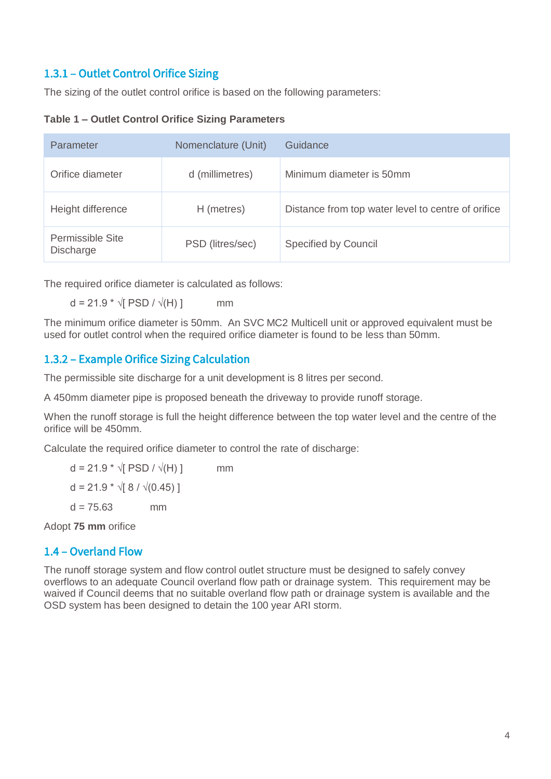## 1.3.1 – Outlet Control Orifice Sizing

The sizing of the outlet control orifice is based on the following parameters:

#### **Table 1 – Outlet Control Orifice Sizing Parameters**

| Parameter                            | Nomenclature (Unit) | Guidance                                           |
|--------------------------------------|---------------------|----------------------------------------------------|
| Orifice diameter                     | d (millimetres)     | Minimum diameter is 50mm                           |
| Height difference                    | H (metres)          | Distance from top water level to centre of orifice |
| Permissible Site<br><b>Discharge</b> | PSD (litres/sec)    | Specified by Council                               |

The required orifice diameter is calculated as follows:

 $d = 21.9 * \sqrt{PSD} / \sqrt{H}}$  mm

The minimum orifice diameter is 50mm. An SVC MC2 Multicell unit or approved equivalent must be used for outlet control when the required orifice diameter is found to be less than 50mm.

#### 1.3.2 – Example Orifice Sizing Calculation

The permissible site discharge for a unit development is 8 litres per second.

A 450mm diameter pipe is proposed beneath the driveway to provide runoff storage.

When the runoff storage is full the height difference between the top water level and the centre of the orifice will be 450mm.

Calculate the required orifice diameter to control the rate of discharge:

 $d = 21.9 * √ [PSD / √(H)]$  mm  $d = 21.9 * \sqrt{8} / \sqrt{(0.45)}$  $d = 75.63$  mm

Adopt **75 mm** orifice

## 1.4 – Overland Flow

The runoff storage system and flow control outlet structure must be designed to safely convey overflows to an adequate Council overland flow path or drainage system. This requirement may be waived if Council deems that no suitable overland flow path or drainage system is available and the OSD system has been designed to detain the 100 year ARI storm.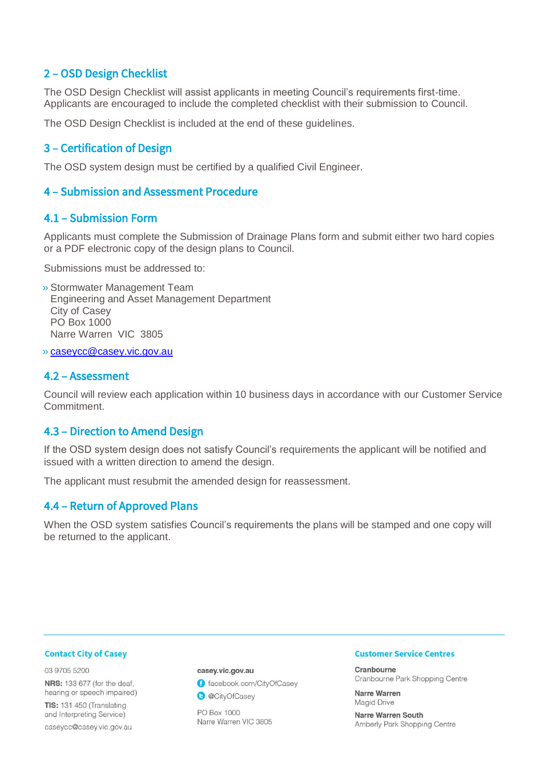#### 2 – OSD Design Checklist

The OSD Design Checklist will assist applicants in meeting Council's requirements first-time. Applicants are encouraged to include the completed checklist with their submission to Council.

The OSD Design Checklist is included at the end of these guidelines.

#### 3 – Certification of Design

The OSD system design must be certified by a qualified Civil Engineer.

#### 4 – Submission and Assessment Procedure

#### 4.1 – Submission Form

Applicants must complete the Submission of Drainage Plans form and submit either two hard copies or a PDF electronic copy of the design plans to Council.

Submissions must be addressed to:

» Stormwater Management Team Engineering and Asset Management Department City of Casey PO Box 1000 Narre Warren VIC 3805

» [caseycc@casey.vic.gov.au](mailto:caseycc@casey.vic.gov.au)

#### 4.2 – Assessment

Council will review each application within 10 business days in accordance with our Customer Service **Commitment** 

#### 4.3 – Direction to Amend Design

If the OSD system design does not satisfy Council's requirements the applicant will be notified and issued with a written direction to amend the design.

The applicant must resubmit the amended design for reassessment.

#### 4.4 – Return of Approved Plans

When the OSD system satisfies Council's requirements the plans will be stamped and one copy will be returned to the applicant.

#### **Contact City of Casey**

03 9705 5200

**NRS:** 133 677 (for the deaf, hearing or speech impaired)

TIS: 131 450 (Translating and Interpreting Service) caseycc@casey.vic.gov.au

#### casey.vic.gov.au

facebook.com/CityOfCasey



PO Box 1000 Narre Warren VIC 3805

#### **Customer Service Centres**

Cranbourne Cranbourne Park Shopping Centre

Narre Warren Magid Drive

Narre Warren South Amberly Park Shopping Centre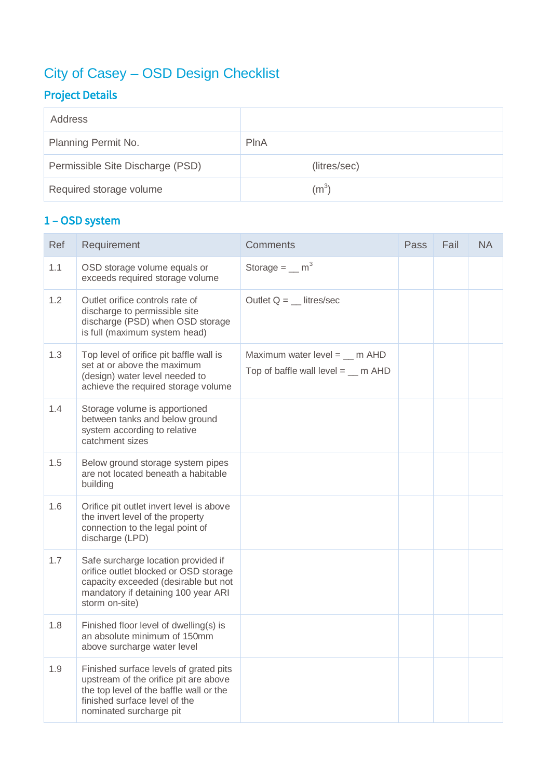# City of Casey – OSD Design Checklist

# Project Details

| Address                          |              |
|----------------------------------|--------------|
| Planning Permit No.              | PlnA         |
| Permissible Site Discharge (PSD) | (litres/sec) |
| Required storage volume          | $\rm (m^3)$  |

## 1 – OSD system

| Ref | Requirement                                                                                                                                                                            | <b>Comments</b>                                                                 | Pass | Fail | <b>NA</b> |
|-----|----------------------------------------------------------------------------------------------------------------------------------------------------------------------------------------|---------------------------------------------------------------------------------|------|------|-----------|
| 1.1 | OSD storage volume equals or<br>exceeds required storage volume                                                                                                                        | Storage = $\text{m}^3$                                                          |      |      |           |
| 1.2 | Outlet orifice controls rate of<br>discharge to permissible site<br>discharge (PSD) when OSD storage<br>is full (maximum system head)                                                  | Outlet $Q =$ __ litres/sec                                                      |      |      |           |
| 1.3 | Top level of orifice pit baffle wall is<br>set at or above the maximum<br>(design) water level needed to<br>achieve the required storage volume                                        | Maximum water level = $\_$ m AHD<br>Top of baffle wall level $=$ $\ldots$ m AHD |      |      |           |
| 1.4 | Storage volume is apportioned<br>between tanks and below ground<br>system according to relative<br>catchment sizes                                                                     |                                                                                 |      |      |           |
| 1.5 | Below ground storage system pipes<br>are not located beneath a habitable<br>building                                                                                                   |                                                                                 |      |      |           |
| 1.6 | Orifice pit outlet invert level is above<br>the invert level of the property<br>connection to the legal point of<br>discharge (LPD)                                                    |                                                                                 |      |      |           |
| 1.7 | Safe surcharge location provided if<br>orifice outlet blocked or OSD storage<br>capacity exceeded (desirable but not<br>mandatory if detaining 100 year ARI<br>storm on-site)          |                                                                                 |      |      |           |
| 1.8 | Finished floor level of dwelling(s) is<br>an absolute minimum of 150mm<br>above surcharge water level                                                                                  |                                                                                 |      |      |           |
| 1.9 | Finished surface levels of grated pits<br>upstream of the orifice pit are above<br>the top level of the baffle wall or the<br>finished surface level of the<br>nominated surcharge pit |                                                                                 |      |      |           |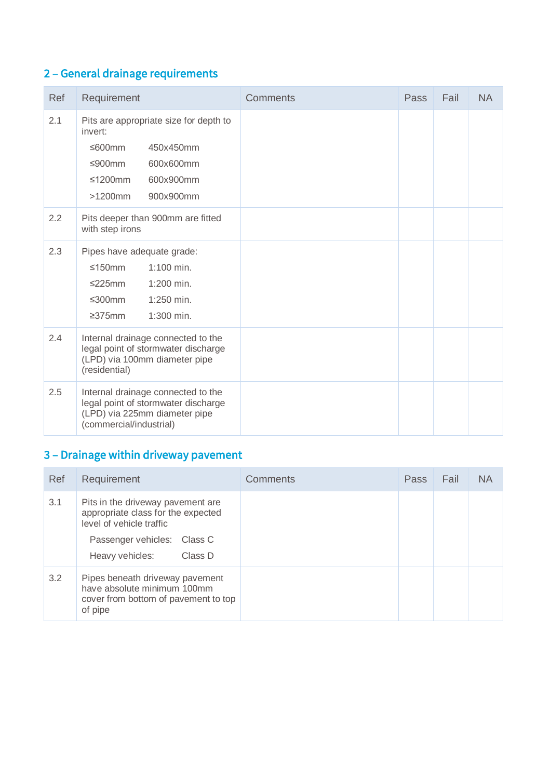## 2 – General drainage requirements

| Ref | Requirement                                                                                                                                        | <b>Comments</b> | <b>Pass</b> | Fail | <b>NA</b> |
|-----|----------------------------------------------------------------------------------------------------------------------------------------------------|-----------------|-------------|------|-----------|
| 2.1 | Pits are appropriate size for depth to<br>invert:<br>≤600mm<br>450x450mm<br>≤900mm<br>600x600mm<br>≤1200mm<br>600x900mm<br>$>1200$ mm<br>900x900mm |                 |             |      |           |
| 2.2 | Pits deeper than 900mm are fitted<br>with step irons                                                                                               |                 |             |      |           |
| 2.3 | Pipes have adequate grade:<br>≤150mm<br>$1:100$ min.<br>≤225mm<br>1:200 min.<br>≤300mm<br>1:250 min.<br>1:300 min.<br>$\geq$ 375mm                 |                 |             |      |           |
| 2.4 | Internal drainage connected to the<br>legal point of stormwater discharge<br>(LPD) via 100mm diameter pipe<br>(residential)                        |                 |             |      |           |
| 2.5 | Internal drainage connected to the<br>legal point of stormwater discharge<br>(LPD) via 225mm diameter pipe<br>(commercial/industrial)              |                 |             |      |           |

# 3 – Drainage within driveway pavement

| Ref | Requirement                                                                                                                                                      | <b>Comments</b> | Pass | Fail | ΝA |
|-----|------------------------------------------------------------------------------------------------------------------------------------------------------------------|-----------------|------|------|----|
| 3.1 | Pits in the driveway pavement are<br>appropriate class for the expected<br>level of vehicle traffic<br>Passenger vehicles: Class C<br>Heavy vehicles:<br>Class D |                 |      |      |    |
| 3.2 | Pipes beneath driveway pavement<br>have absolute minimum 100mm<br>cover from bottom of pavement to top<br>of pipe                                                |                 |      |      |    |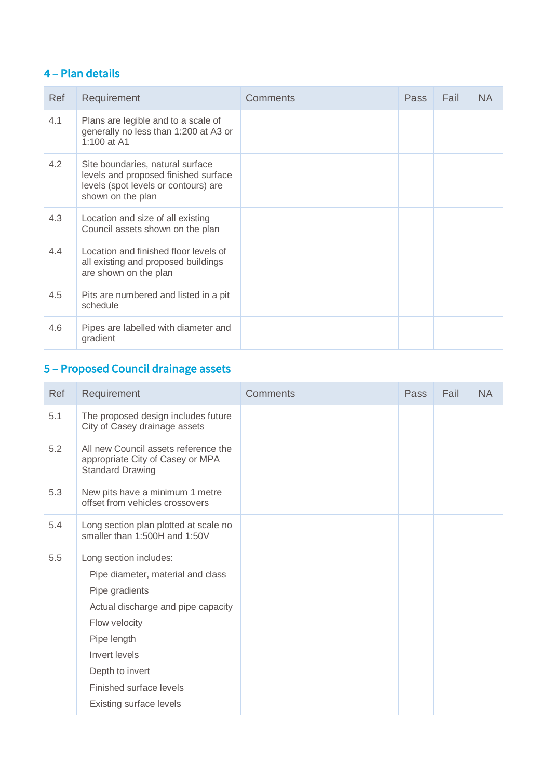## 4 – Plan details

| Ref | Requirement                                                                                                                           | Comments | Pass | Fail | <b>NA</b> |
|-----|---------------------------------------------------------------------------------------------------------------------------------------|----------|------|------|-----------|
| 4.1 | Plans are legible and to a scale of<br>generally no less than 1:200 at A3 or<br>1:100 at A1                                           |          |      |      |           |
| 4.2 | Site boundaries, natural surface<br>levels and proposed finished surface<br>levels (spot levels or contours) are<br>shown on the plan |          |      |      |           |
| 4.3 | Location and size of all existing<br>Council assets shown on the plan                                                                 |          |      |      |           |
| 4.4 | Location and finished floor levels of<br>all existing and proposed buildings<br>are shown on the plan                                 |          |      |      |           |
| 4.5 | Pits are numbered and listed in a pit<br>schedule                                                                                     |          |      |      |           |
| 4.6 | Pipes are labelled with diameter and<br>gradient                                                                                      |          |      |      |           |

# 5 – Proposed Council drainage assets

| Ref | Requirement                                                                                                                                                                                                                                   | <b>Comments</b> | Pass | Fail | <b>NA</b> |
|-----|-----------------------------------------------------------------------------------------------------------------------------------------------------------------------------------------------------------------------------------------------|-----------------|------|------|-----------|
| 5.1 | The proposed design includes future<br>City of Casey drainage assets                                                                                                                                                                          |                 |      |      |           |
| 5.2 | All new Council assets reference the<br>appropriate City of Casey or MPA<br><b>Standard Drawing</b>                                                                                                                                           |                 |      |      |           |
| 5.3 | New pits have a minimum 1 metre<br>offset from vehicles crossovers                                                                                                                                                                            |                 |      |      |           |
| 5.4 | Long section plan plotted at scale no<br>smaller than 1:500H and 1:50V                                                                                                                                                                        |                 |      |      |           |
| 5.5 | Long section includes:<br>Pipe diameter, material and class<br>Pipe gradients<br>Actual discharge and pipe capacity<br>Flow velocity<br>Pipe length<br>Invert levels<br>Depth to invert<br>Finished surface levels<br>Existing surface levels |                 |      |      |           |